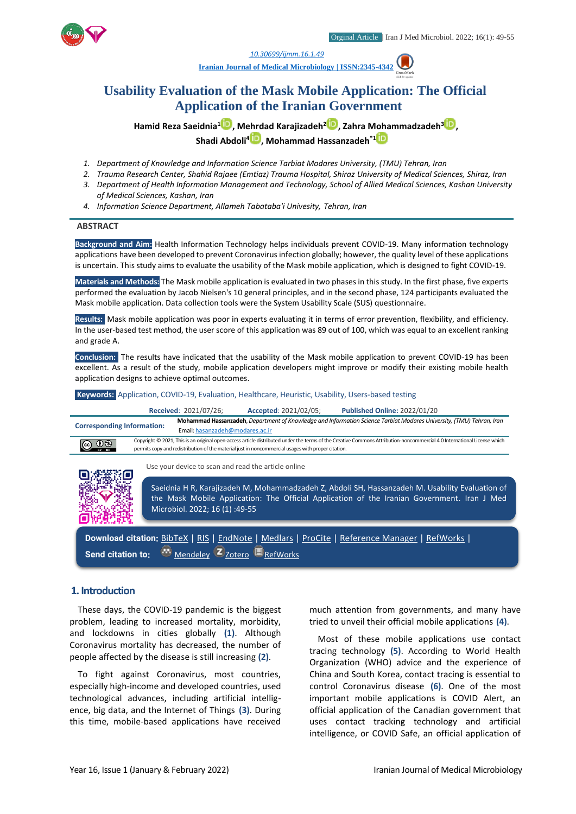

*1. [10.30699/ijmm.16.1.49](http://dx.doi.org/10.30699/ijmm.16.1.49)*

**[Iranian Journal of Medical Microbiology |](https://ijmm.ir/) ISSN:2345-4342**

# **Usability Evaluation of the Mask Mobile Application: The Official Application of the Iranian Government**

**Hamid Reza Saeidnia[1](http://orcid.org/0000000154302416) , Mehrdad Karajizadeh<sup>2</sup> [,](http://orcid.org/0000000292973488) Zahra Mohammadzadeh[3](http://orcid.org/0000000257534818) , Shadi Abdoli<sup>4</sup> , Mohammad Hassanzadeh\*1**

- *1. Department of Knowledge and Information Science Tarbiat Modares University, (TMU) Tehran, Iran*
- *2. Trauma Research Center, Shahid Rajaee (Emtiaz) Trauma Hospital, Shiraz University of Medical Sciences, Shiraz, Iran*
- *3. Department of Health Information Management and Technology, School of Allied Medical Sciences, Kashan University of Medical Sciences, Kashan, Iran*
- *4. Information Science Department, Allameh Tabataba'i Univesity, Tehran, Iran*

#### **ABSTRACT**

**Background and Aim:** Health Information Technology helps individuals prevent COVID-19. Many information technology applications have been developed to prevent Coronavirus infection globally; however, the quality level of these applications is uncertain. This study aims to evaluate the usability of the Mask mobile application, which is designed to fight COVID-19.

**Materials and Methods:** The Mask mobile application is evaluated in two phases in this study. In the first phase, five experts performed the evaluation by Jacob Nielsen's 10 general principles, and in the second phase, 124 participants evaluated the Mask mobile application. Data collection tools were the System Usability Scale (SUS) questionnaire.

**Results:** Mask mobile application was poor in experts evaluating it in terms of error prevention, flexibility, and efficiency. In the user-based test method, the user score of this application was 89 out of 100, which was equal to an excellent ranking and grade A.

**Conclusion:** The results have indicated that the usability of the Mask mobile application to prevent COVID-19 has been excellent. As a result of the study, mobile application developers might improve or modify their existing mobile health application designs to achieve optimal outcomes.

**Keywords:** Application, COVID-19, Evaluation, Healthcare, Heuristic, Usability, Users-based testing

|                                   | <b>Received: 2021/07/26;</b>    | Accepted: 2021/02/05;                                                                              | <b>Published Online: 2022/01/20</b>                                                                                                                                                            |
|-----------------------------------|---------------------------------|----------------------------------------------------------------------------------------------------|------------------------------------------------------------------------------------------------------------------------------------------------------------------------------------------------|
| <b>Corresponding Information:</b> | Email: hasanzadeh@modares.ac.ir |                                                                                                    | Mohammad Hassanzadeh, Department of Knowledge and Information Science Tarbiat Modares University, (TMU) Tehran, Iran                                                                           |
|                                   |                                 | permits copy and redistribution of the material just in noncommercial usages with proper citation. | Copyright © 2021, This is an original open-access article distributed under the terms of the Creative Commons Attribution-noncommercial 4.0 International License which                        |
|                                   |                                 | Use your device to scan and read the article online                                                |                                                                                                                                                                                                |
|                                   | Microbiol. 2022; 16 (1):49-55   |                                                                                                    | Saeidnia H R, Karajizadeh M, Mohammadzadeh Z, Abdoli SH, Hassanzadeh M. Usability Evaluation of<br>the Mask Mobile Application: The Official Application of the Iranian Government. Iran J Med |
| Send citation to:                 | Mendeley <sup>(2</sup> Zotero   |                                                                                                    | Download citation: BibTeX   RIS   EndNote   Medlars   ProCite   Reference Manager   RefWorks                                                                                                   |

# **1. Introduction**

These days, the COVID-19 pandemic is the biggest problem, leading to increased mortality, morbidity, and lockdowns in cities globally **(1)**. Although Coronavirus mortality has decreased, the number of people affected by the disease is still increasing **(2)**.

To fight against Coronavirus, most countries, especially high-income and developed countries, used technological advances, including artificial intelligence, big data, and the Internet of Things **(3)**. During this time, mobile-based applications have received much attention from governments, and many have tried to unveil their official mobile applications **(4)**.

Most of these mobile applications use contact tracing technology **(5)**. According to World Health Organization (WHO) advice and the experience of China and South Korea, contact tracing is essential to control Coronavirus disease **(6)**. One of the most important mobile applications is COVID Alert, an official application of the Canadian government that uses contact tracking technology and artificial intelligence, or COVID Safe, an official application of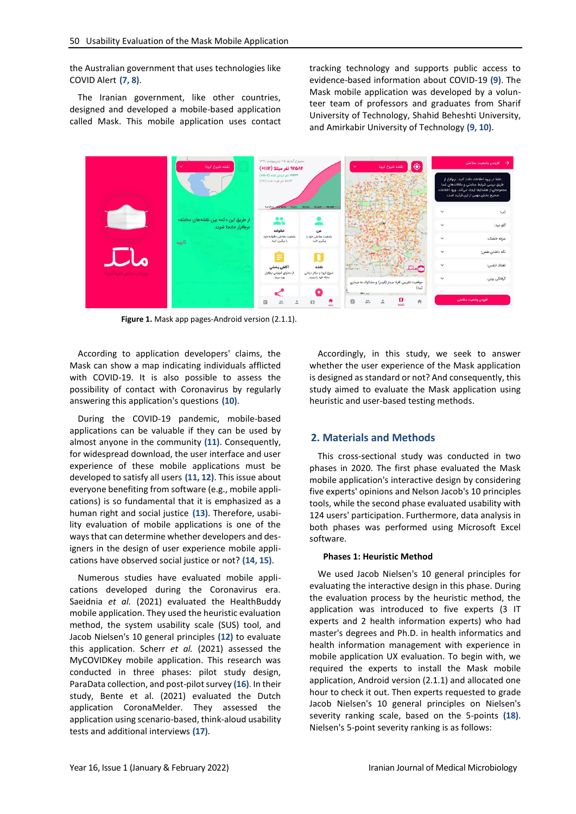the Australian government that uses technologies like COVID Alert **(7, 8)**.

The Iranian government, like other countries, designed and developed a mobile-based application called Mask. This mobile application uses contact

tracking technology and supports public access to evidence-based information about COVID-19 **(9)**. The Mask mobile application was developed by a volunteer team of professors and graduates from Sharif University of Technology, Shahid Beheshti University, and Amirkabir University of Technology **(9, 10)**.



Figure 1. Mask app pages-Android version (2.1.1).

According to application developers' claims, the Mask can show a map indicating individuals afflicted with COVID-19. It is also possible to assess the possibility of contact with Coronavirus by regularly answering this application's questions **(10)**.

During the COVID-19 pandemic, mobile-based applications can be valuable if they can be used by almost anyone in the community **(11)**. Consequently, for widespread download, the user interface and user experience of these mobile applications must be developed to satisfy all users **(11, 12)**. This issue about everyone benefiting from software (e.g., mobile applications) is so fundamental that it is emphasized as a human right and social justice **(13)**. Therefore, usability evaluation of mobile applications is one of the ways that can determine whether developers and designers in the design of user experience mobile applications have observed social justice or not? **(14, 15)**.

Numerous studies have evaluated mobile applications developed during the Coronavirus era. Saeidnia *et al.* (2021) evaluated the HealthBuddy mobile application. They used the heuristic evaluation method, the system usability scale (SUS) tool, and Jacob Nielsen's 10 general principles **(12)** to evaluate this application. Scherr *et al.* (2021) assessed the MyCOVIDKey mobile application. This research was conducted in three phases: pilot study design, ParaData collection, and post-pilot survey **(16)**. In their study, Bente et al. (2021) evaluated the Dutch application CoronaMelder. They assessed the application using scenario-based, think-aloud usability tests and additional interviews **(17)**.

Accordingly, in this study, we seek to answer whether the user experience of the Mask application is designed as standard or not? And consequently, this study aimed to evaluate the Mask application using heuristic and user-based testing methods.

## **2. Materials and Methods**

This cross-sectional study was conducted in two phases in 2020. The first phase evaluated the Mask mobile application's interactive design by considering five experts' opinions and Nelson Jacob's 10 principles tools, while the second phase evaluated usability with 124 users' participation. Furthermore, data analysis in both phases was performed using Microsoft Excel software.

#### **Phases 1: Heuristic Method**

We used Jacob Nielsen's 10 general principles for evaluating the interactive design in this phase. During the evaluation process by the heuristic method, the application was introduced to five experts (3 IT experts and 2 health information experts) who had master's degrees and Ph.D. in health informatics and health information management with experience in mobile application UX evaluation. To begin with, we required the experts to install the Mask mobile application, Android version (2.1.1) and allocated one hour to check it out. Then experts requested to grade Jacob Nielsen's 10 general principles on Nielsen's severity ranking scale, based on the 5-points **(18)**. Nielsen's 5-point severity ranking is as follows: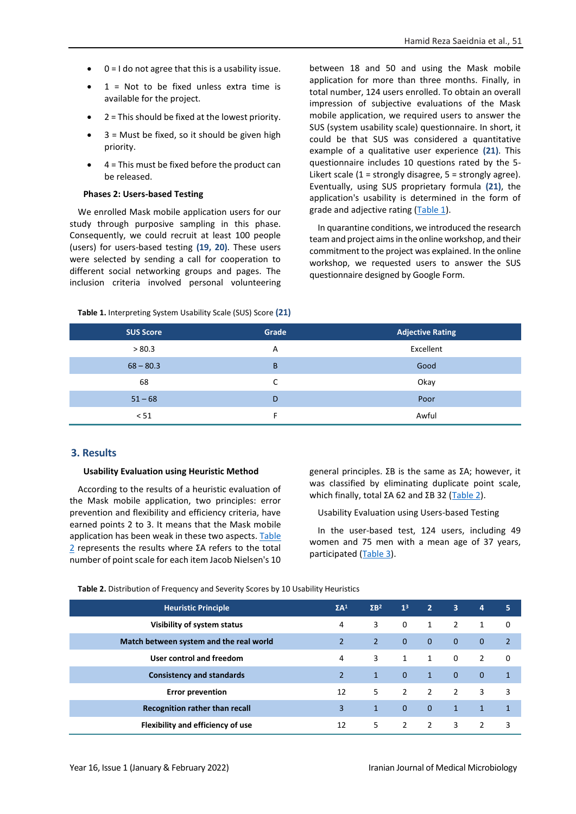- 0 = I do not agree that this is a usability issue.
- $1 =$  Not to be fixed unless extra time is available for the project.
- $2$  = This should be fixed at the lowest priority.
- $\bullet$  3 = Must be fixed, so it should be given high priority.
- $4$  = This must be fixed before the product can be released.

### **Phases 2: Users-based Testing**

We enrolled Mask mobile application users for our study through purposive sampling in this phase. Consequently, we could recruit at least 100 people (users) for users-based testing **(19, 20)**. These users were selected by sending a call for cooperation to different social networking groups and pages. The inclusion criteria involved personal volunteering between 18 and 50 and using the Mask mobile application for more than three months. Finally, in total number, 124 users enrolled. To obtain an overall impression of subjective evaluations of the Mask mobile application, we required users to answer the SUS (system usability scale) questionnaire. In short, it could be that SUS was considered a quantitative example of a qualitative user experience **(21)**. This questionnaire includes 10 questions rated by the 5- Likert scale (1 = strongly disagree, 5 = strongly agree). Eventually, using SUS proprietary formula **(21)**, the application's usability is determined in the form of grade and adjective rating [\(Table 1\)](#page-2-0).

In quarantine conditions, we introduced the research team and project aims in the online workshop, and their commitment to the project was explained. In the online workshop, we requested users to answer the SUS questionnaire designed by Google Form.

<span id="page-2-0"></span>

| Table 1. Interpreting System Usability Scale (SUS) Score (21) |  |  |
|---------------------------------------------------------------|--|--|
|---------------------------------------------------------------|--|--|

| <b>SUS Score</b> | Grade | <b>Adjective Rating</b> |
|------------------|-------|-------------------------|
| > 80.3           | A     | Excellent               |
| $68 - 80.3$      | B     | Good                    |
| 68               | C     | Okay                    |
| $51 - 68$        | D     | Poor                    |
| < 51             |       | Awful                   |

## **3. Results**

#### **Usability Evaluation using Heuristic Method**

According to the results of a heuristic evaluation of the Mask mobile application, two principles: error prevention and flexibility and efficiency criteria, have earned points 2 to 3. It means that the Mask mobile application has been weak in these two aspects[. Table](#page-2-1)  [2](#page-2-1) represents the results where ΣA refers to the total number of point scale for each item Jacob Nielsen's 10 general principles. ΣB is the same as ΣA; however, it was classified by eliminating duplicate point scale, which finally, total ΣA 62 and ΣB 32 ([Table 2\)](#page-2-1).

Usability Evaluation using Users-based Testing

In the user-based test, 124 users, including 49 women and 75 men with a mean age of 37 years, participated [\(Table 3\)](#page-3-0).

<span id="page-2-1"></span>**Table 2.** Distribution of Frequency and Severity Scores by 10 Usability Heuristics

| <b>Heuristic Principle</b>              | $\Sigma A^1$   | $\Sigma B^2$ | 1 <sup>3</sup> | $\overline{2}$ | 3              | 4              | 5              |
|-----------------------------------------|----------------|--------------|----------------|----------------|----------------|----------------|----------------|
| Visibility of system status             | 4              | 3            | 0              | $\mathbf{1}$   | 2              | $\mathbf{1}$   | 0              |
| Match between system and the real world | $\overline{2}$ | 2            | $\mathbf{0}$   | $\mathbf{0}$   | $\mathbf{0}$   | $\mathbf 0$    | $\overline{2}$ |
| User control and freedom                | 4              | 3            | $\mathbf{1}$   | $\mathbf{1}$   | 0              | $\overline{2}$ | 0              |
| <b>Consistency and standards</b>        | $\overline{2}$ | $\mathbf{1}$ | $\mathbf{0}$   | $\mathbf{1}$   | $\mathbf{0}$   | $\mathbf{0}$   | $\mathbf{1}$   |
| <b>Error prevention</b>                 | 12             | 5            | $\overline{2}$ | 2              | $\overline{2}$ | 3              | 3              |
| Recognition rather than recall          | 3              | $\mathbf{1}$ | $\Omega$       | $\Omega$       | $\mathbf{1}$   | $\mathbf{1}$   | $\mathbf{1}$   |
| Flexibility and efficiency of use       | 12             | 5            | 2              | 2              | $\mathbf{3}$   | $\overline{2}$ | 3              |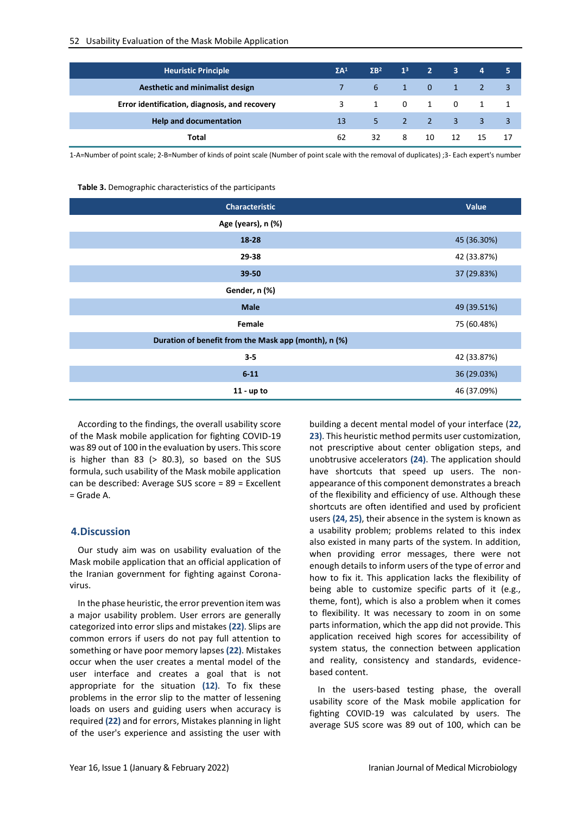| <b>Heuristic Principle</b>                    | $\Sigma A^1$ | $\sqrt{3}R^2$ | 1 <sup>3</sup>                           | $\sim$ 2                                 | $\overline{\phantom{a}}$ 3 | $\overline{4}$ | 5                          |
|-----------------------------------------------|--------------|---------------|------------------------------------------|------------------------------------------|----------------------------|----------------|----------------------------|
| <b>Aesthetic and minimalist design</b>        |              | 6             | $\blacktriangle$ 1 $\blacktriangleright$ | $\begin{array}{ccc} & 0 & 1 \end{array}$ |                            | -2             |                            |
| Error identification, diagnosis, and recovery | 3            |               |                                          | 1 0 1 0                                  |                            |                |                            |
| <b>Help and documentation</b>                 | 13           |               |                                          | $5 \qquad 2 \qquad 2 \qquad 3$           |                            | 3              | $\overline{\phantom{a}}$ 3 |
| Total                                         | 62           | 32            | 8                                        | 10                                       | 12                         | 15             |                            |

<span id="page-3-0"></span>1-A=Number of point scale; 2-B=Number of kinds of point scale (Number of point scale with the removal of duplicates) ;3- Each expert's number

### **Table 3.** Demographic characteristics of the participants

| <b>Characteristic</b>                                | Value       |
|------------------------------------------------------|-------------|
| Age (years), n (%)                                   |             |
| 18-28                                                | 45 (36.30%) |
| 29-38                                                | 42 (33.87%) |
| $39 - 50$                                            | 37 (29.83%) |
| Gender, n (%)                                        |             |
| <b>Male</b>                                          | 49 (39.51%) |
| Female                                               | 75 (60.48%) |
| Duration of benefit from the Mask app (month), n (%) |             |
| $3 - 5$                                              | 42 (33.87%) |
| $6 - 11$                                             | 36 (29.03%) |
| $11 - up to$                                         | 46 (37.09%) |

According to the findings, the overall usability score of the Mask mobile application for fighting COVID-19 was 89 out of 100 in the evaluation by users. This score is higher than 83 (> 80.3), so based on the SUS formula, such usability of the Mask mobile application can be described: Average SUS score = 89 = Excellent  $=$  Grade  $\Delta$ 

## **4.Discussion**

Our study aim was on usability evaluation of the Mask mobile application that an official application of the Iranian government for fighting against Coronavirus.

In the phase heuristic, the error prevention item was a major usability problem. User errors are generally categorized into error slips and mistakes **(22)**. Slips are common errors if users do not pay full attention to something or have poor memory lapses **(22)**. Mistakes occur when the user creates a mental model of the user interface and creates a goal that is not appropriate for the situation **(12)**. To fix these problems in the error slip to the matter of lessening loads on users and guiding users when accuracy is required **(22)** and for errors, Mistakes planning in light of the user's experience and assisting the user with building a decent mental model of your interface (**22, 23)**. This heuristic method permits user customization, not prescriptive about center obligation steps, and unobtrusive accelerators **(24)**. The application should have shortcuts that speed up users. The nonappearance of this component demonstrates a breach of the flexibility and efficiency of use. Although these shortcuts are often identified and used by proficient users **(24, 25)**, their absence in the system is known as a usability problem; problems related to this index also existed in many parts of the system. In addition, when providing error messages, there were not enough details to inform users of the type of error and how to fix it. This application lacks the flexibility of being able to customize specific parts of it (e.g., theme, font), which is also a problem when it comes to flexibility. It was necessary to zoom in on some parts information, which the app did not provide. This application received high scores for accessibility of system status, the connection between application and reality, consistency and standards, evidencebased content.

In the users-based testing phase, the overall usability score of the Mask mobile application for fighting COVID-19 was calculated by users. The average SUS score was 89 out of 100, which can be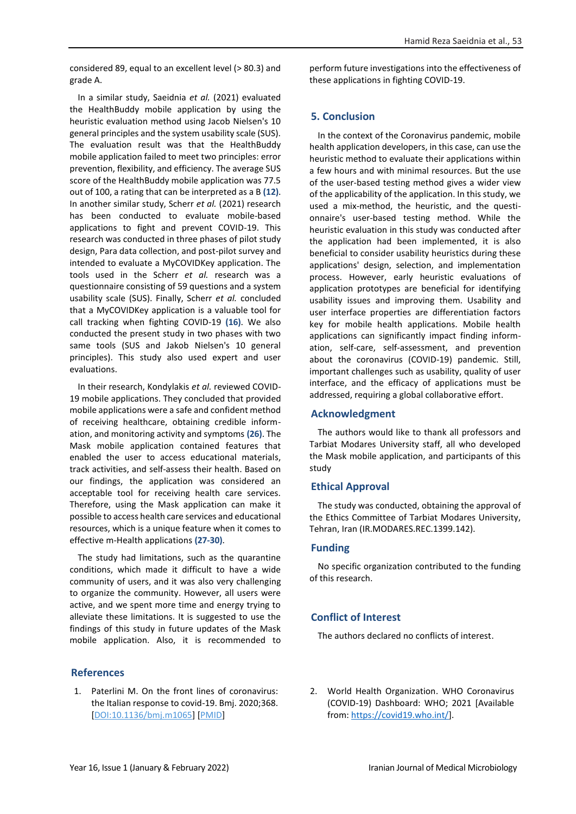considered 89, equal to an excellent level (> 80.3) and grade A.

In a similar study, Saeidnia *et al.* (2021) evaluated the HealthBuddy mobile application by using the heuristic evaluation method using Jacob Nielsen's 10 general principles and the system usability scale (SUS). The evaluation result was that the HealthBuddy mobile application failed to meet two principles: error prevention, flexibility, and efficiency. The average SUS score of the HealthBuddy mobile application was 77.5 out of 100, a rating that can be interpreted as a B **(12)**. In another similar study, Scherr *et al.* (2021) research has been conducted to evaluate mobile-based applications to fight and prevent COVID-19. This research was conducted in three phases of pilot study design, Para data collection, and post-pilot survey and intended to evaluate a MyCOVIDKey application. The tools used in the Scherr *et al.* research was a questionnaire consisting of 59 questions and a system usability scale (SUS). Finally, Scherr *et al.* concluded that a MyCOVIDKey application is a valuable tool for call tracking when fighting COVID-19 **(16)**. We also conducted the present study in two phases with two same tools (SUS and Jakob Nielsen's 10 general principles). This study also used expert and user evaluations.

In their research, Kondylakis *et al.* reviewed COVID-19 mobile applications. They concluded that provided mobile applications were a safe and confident method of receiving healthcare, obtaining credible information, and monitoring activity and symptoms **(26)**. The Mask mobile application contained features that enabled the user to access educational materials, track activities, and self-assess their health. Based on our findings, the application was considered an acceptable tool for receiving health care services. Therefore, using the Mask application can make it possible to access health care services and educational resources, which is a unique feature when it comes to effective m-Health applications **(27-30)**.

The study had limitations, such as the quarantine conditions, which made it difficult to have a wide community of users, and it was also very challenging to organize the community. However, all users were active, and we spent more time and energy trying to alleviate these limitations. It is suggested to use the findings of this study in future updates of the Mask mobile application. Also, it is recommended to

## **References**

1. Paterlini M. On the front lines of coronavirus: the Italian response to covid-19. Bmj. 2020;368. [\[DOI:10.1136/bmj.m1065\]](https://doi.org/10.1136/bmj.m1065) [\[PMID\]](https://www.ncbi.nlm.nih.gov/pubmed/32179517)

perform future investigations into the effectiveness of these applications in fighting COVID-19.

Hamid Reza Saeidnia et al., 53

## **5. Conclusion**

In the context of the Coronavirus pandemic, mobile health application developers, in this case, can use the heuristic method to evaluate their applications within a few hours and with minimal resources. But the use of the user-based testing method gives a wider view of the applicability of the application. In this study, we used a mix-method, the heuristic, and the questionnaire's user-based testing method. While the heuristic evaluation in this study was conducted after the application had been implemented, it is also beneficial to consider usability heuristics during these applications' design, selection, and implementation process. However, early heuristic evaluations of application prototypes are beneficial for identifying usability issues and improving them. Usability and user interface properties are differentiation factors key for mobile health applications. Mobile health applications can significantly impact finding information, self-care, self-assessment, and prevention about the coronavirus (COVID-19) pandemic. Still, important challenges such as usability, quality of user interface, and the efficacy of applications must be addressed, requiring a global collaborative effort.

## **Acknowledgment**

The authors would like to thank all professors and Tarbiat Modares University staff, all who developed the Mask mobile application, and participants of this study

## **Ethical Approval**

The study was conducted, obtaining the approval of the Ethics Committee of Tarbiat Modares University, Tehran, Iran (IR.MODARES.REC.1399.142).

## **Funding**

No specific organization contributed to the funding of this research.

# **Conflict of Interest**

The authors declared no conflicts of interest.

2. World Health Organization. WHO Coronavirus (COVID-19) Dashboard: WHO; 2021 [Available from: [https://covid19.who.int/\]](https://covid19.who.int/).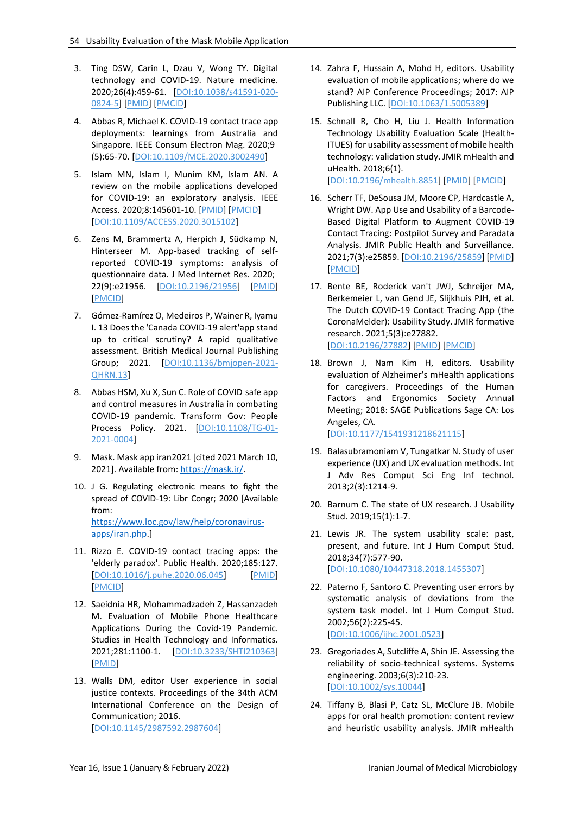- 3. Ting DSW, Carin L, Dzau V, Wong TY. Digital technology and COVID-19. Nature medicine. 2020;26(4):459-61. [\[DOI:10.1038/s41591-020-](https://doi.org/10.1038/s41591-020-0824-5) [0824-5\]](https://doi.org/10.1038/s41591-020-0824-5) [\[PMID\]](https://www.ncbi.nlm.nih.gov/pubmed/32284618) [\[PMCID\]](http://www.ncbi.nlm.nih.gov/pmc/articles/PMC7100489)
- 4. Abbas R, Michael K. COVID-19 contact trace app deployments: learnings from Australia and Singapore. IEEE Consum Electron Mag. 2020;9 (5):65-70. [\[DOI:10.1109/MCE.2020.3002490\]](https://doi.org/10.1109/MCE.2020.3002490)
- 5. Islam MN, Islam I, Munim KM, Islam AN. A review on the mobile applications developed for COVID-19: an exploratory analysis. IEEE Access. 2020;8:145601-10. [\[PMID\]](https://www.ncbi.nlm.nih.gov/pubmed/34812346) [\[PMCID\]](http://www.ncbi.nlm.nih.gov/pmc/articles/PMC8545318) [\[DOI:10.1109/ACCESS.2020.3015102\]](https://doi.org/10.1109/ACCESS.2020.3015102)
- 6. Zens M, Brammertz A, Herpich J, Südkamp N, Hinterseer M. App-based tracking of selfreported COVID-19 symptoms: analysis of questionnaire data. J Med Internet Res. 2020; 22(9):e21956. [\[DOI:10.2196/21956\]](https://doi.org/10.2196/21956) [\[PMID\]](https://www.ncbi.nlm.nih.gov/pubmed/32791493) [\[PMCID\]](http://www.ncbi.nlm.nih.gov/pmc/articles/PMC7480999)
- 7. Gómez-Ramírez O, Medeiros P, Wainer R, Iyamu I. 13 Does the 'Canada COVID-19 alert'app stand up to critical scrutiny? A rapid qualitative assessment. British Medical Journal Publishing Group; 2021. [\[DOI:10.1136/bmjopen-2021-](https://doi.org/10.1136/bmjopen-2021-QHRN.13) [QHRN.13\]](https://doi.org/10.1136/bmjopen-2021-QHRN.13)
- 8. Abbas HSM, Xu X, Sun C. Role of COVID safe app and control measures in Australia in combating COVID-19 pandemic. Transform Gov: People Process Policy. 2021. [\[DOI:10.1108/TG-01-](https://doi.org/10.1108/TG-01-2021-0004) [2021-0004\]](https://doi.org/10.1108/TG-01-2021-0004)
- 9. Mask. Mask app iran2021 [cited 2021 March 10, 2021]. Available from[: https://mask.ir/.](https://mask.ir/)
- 10. J G. Regulating electronic means to fight the spread of COVID‐19: Libr Congr; 2020 [Available from: [https://www.loc.gov/law/help/coronavirus](https://www.loc.gov/law/help/coronavirus-apps/iran.php)[apps/iran.php.](https://www.loc.gov/law/help/coronavirus-apps/iran.php)]
- 11. Rizzo E. COVID-19 contact tracing apps: the 'elderly paradox'. Public Health. 2020;185:127. [\[DOI:10.1016/j.puhe.2020.06.045\]](https://doi.org/10.1016/j.puhe.2020.06.045) [\[PMID\]](https://www.ncbi.nlm.nih.gov/pubmed/32622218) [\[PMCID\]](http://www.ncbi.nlm.nih.gov/pmc/articles/PMC7321037)
- 12. Saeidnia HR, Mohammadzadeh Z, Hassanzadeh M. Evaluation of Mobile Phone Healthcare Applications During the Covid-19 Pandemic. Studies in Health Technology and Informatics. 2021;281:1100-1. [\[DOI:10.3233/SHTI210363\]](https://doi.org/10.3233/SHTI210363) [\[PMID\]](https://www.ncbi.nlm.nih.gov/pubmed/34042856)
- 13. Walls DM, editor User experience in social justice contexts. Proceedings of the 34th ACM International Conference on the Design of Communication; 2016. [\[DOI:10.1145/2987592.2987604\]](https://doi.org/10.1145/2987592.2987604)
- 14. Zahra F, Hussain A, Mohd H, editors. Usability evaluation of mobile applications; where do we stand? AIP Conference Proceedings; 2017: AIP Publishing LLC. [\[DOI:10.1063/1.5005389\]](https://doi.org/10.1063/1.5005389)
- 15. Schnall R, Cho H, Liu J. Health Information Technology Usability Evaluation Scale (Health-ITUES) for usability assessment of mobile health technology: validation study. JMIR mHealth and uHealth. 2018;6(1). [\[DOI:10.2196/mhealth.8851\]](https://doi.org/10.2196/mhealth.8851) [\[PMID\]](https://www.ncbi.nlm.nih.gov/pubmed/29305343) [\[PMCID\]](http://www.ncbi.nlm.nih.gov/pmc/articles/PMC5775483)
- 16. Scherr TF, DeSousa JM, Moore CP, Hardcastle A, Wright DW. App Use and Usability of a Barcode-Based Digital Platform to Augment COVID-19 Contact Tracing: Postpilot Survey and Paradata Analysis. JMIR Public Health and Surveillance. 2021;7(3):e25859. [\[DOI:10.2196/25859\]](https://doi.org/10.2196/25859) [\[PMID\]](https://www.ncbi.nlm.nih.gov/pubmed/33630745) [\[PMCID\]](http://www.ncbi.nlm.nih.gov/pmc/articles/PMC8006896)
- 17. Bente BE, Roderick van't JWJ, Schreijer MA, Berkemeier L, van Gend JE, Slijkhuis PJH, et al. The Dutch COVID-19 Contact Tracing App (the CoronaMelder): Usability Study. JMIR formative research. 2021;5(3):e27882. [\[DOI:10.2196/27882\]](https://doi.org/10.2196/27882) [\[PMID\]](https://www.ncbi.nlm.nih.gov/pubmed/33724198) [\[PMCID\]](http://www.ncbi.nlm.nih.gov/pmc/articles/PMC8006901)
- 18. Brown J, Nam Kim H, editors. Usability evaluation of Alzheimer's mHealth applications for caregivers. Proceedings of the Human Factors and Ergonomics Society Annual Meeting; 2018: SAGE Publications Sage CA: Los Angeles, CA. [\[DOI:10.1177/1541931218621115\]](https://doi.org/10.1177/1541931218621115)
- 19. Balasubramoniam V, Tungatkar N. Study of user experience (UX) and UX evaluation methods. Int J Adv Res Comput Sci Eng Inf technol. 2013;2(3):1214-9.
- 20. Barnum C. The state of UX research. J Usability Stud. 2019;15(1):1-7.
- 21. Lewis JR. The system usability scale: past, present, and future. Int J Hum Comput Stud. 2018;34(7):577-90. [\[DOI:10.1080/10447318.2018.1455307\]](https://doi.org/10.1080/10447318.2018.1455307)
- 22. Paterno F, Santoro C. Preventing user errors by systematic analysis of deviations from the system task model. Int J Hum Comput Stud. 2002;56(2):225-45. [\[DOI:10.1006/ijhc.2001.0523\]](https://doi.org/10.1006/ijhc.2001.0523)
- 23. Gregoriades A, Sutcliffe A, Shin JE. Assessing the reliability of socio-technical systems. Systems engineering. 2003;6(3):210-23. [\[DOI:10.1002/sys.10044\]](https://doi.org/10.1002/sys.10044)
- 24. Tiffany B, Blasi P, Catz SL, McClure JB. Mobile apps for oral health promotion: content review and heuristic usability analysis. JMIR mHealth